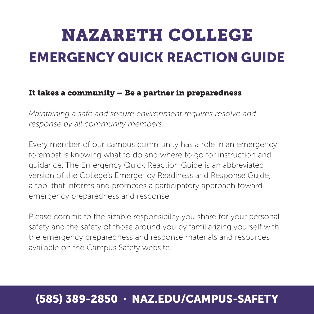# **NAZARETH COLLEGE** EMERGENCY QUICK REACTION GUIDE

### It takes a community – Be a partner in preparedness

*Maintaining a safe and secure environment requires resolve and response by all community members.* 

Every member of our campus community has a role in an emergency; foremost is knowing what to do and where to go for instruction and guidance. The Emergency Quick Reaction Guide is an abbreviated version of the College's Emergency Readiness and Response Guide, a tool that informs and promotes a participatory approach toward emergency preparedness and response.

Please commit to the sizable responsibility you share for your personal safety and the safety of those around you by familiarizing yourself with the emergency preparedness and response materials and resources available on the Campus Safety website.

### (585) 389-2850 · NAZ.EDU/CAMPUS-SAFETY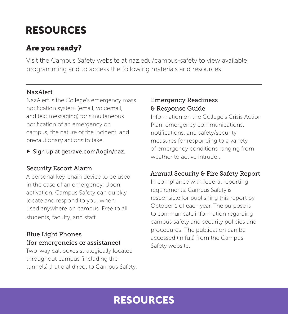# RESOURCES

### Are you ready?

Visit the Campus Safety website at naz.edu/campus-safety to view available programming and to access the following materials and resources:

#### NazAlert

NazAlert is the College's emergency mass notification system (email, voicemail, and text messaging) for simultaneous notification of an emergency on campus, the nature of the incident, and precautionary actions to take.

 $\triangleright$  Sign up at getrave.com/login/naz.

#### Security Escort Alarm

A personal key-chain device to be used in the case of an emergency. Upon activation, Campus Safety can quickly locate and respond to you, when used anywhere on campus. Free to all students, faculty, and staff.

#### Blue Light Phones (for emergencies or assistance)

Two-way call boxes strategically located throughout campus (including the tunnels) that dial direct to Campus Safety.

#### Emergency Readiness & Response Guide

Information on the College's Crisis Action Plan, emergency communications, notifications, and safety/security measures for responding to a variety of emergency conditions ranging from weather to active intruder.

### Annual Security & Fire Safety Report

In compliance with federal reporting requirements, Campus Safety is responsible for publishing this report by October 1 of each year. The purpose is to communicate information regarding campus safety and security policies and procedures. The publication can be accessed (in full) from the Campus Safety website.

### RESOURCES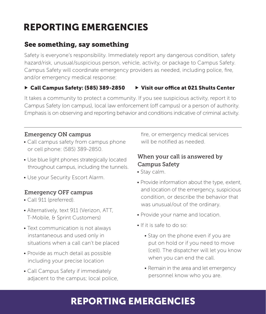# REPORTING EMERGENCIES

### See something, say something

Safety is everyone's responsibility. Immediately report any dangerous condition, safety hazard/risk, unusual/suspicious person, vehicle, activity, or package to Campus Safety. Campus Safety will coordinate emergency providers as needed, including police, fire, and/or emergency medical response:

#### ► Call Campus Safety: (585) 389-2850 ► Visit our office at 021 Shults Center

It takes a community to protect a community. If you see suspicious activity, report it to Campus Safety (on campus), local law enforcement (off campus) or a person of authority. Emphasis is on observing and reporting behavior and conditions indicative of criminal activity.

#### Emergency ON campus

- Call campus safety from campus phone or cell phone: (585) 389-2850.
- Use blue light phones strategically located throughout campus, including the tunnels.
- Use your Security Escort Alarm.

#### Emergency OFF campus

- Call 911 (preferred).
- Alternatively, text 911 (Verizon, ATT, T-Mobile, & Sprint Customers)
- Text communication is not always instantaneous and used only in situations when a call can't be placed
- Provide as much detail as possible including your precise location
- Call Campus Safety if immediately adjacent to the campus; local police,

fire, or emergency medical services will be notified as needed.

#### When your call is answered by Campus Safety

- Stay calm.
- Provide information about the type, extent, and location of the emergency, suspicious condition, or describe the behavior that was unusual/out of the ordinary.
- Provide your name and location.
- If it is safe to do so:
	- Stay on the phone even if you are put on hold or if you need to move (cell). The dispatcher will let you know when you can end the call.
	- Remain in the area and let emergency personnel know who you are.

### REPORTING EMERGENCIES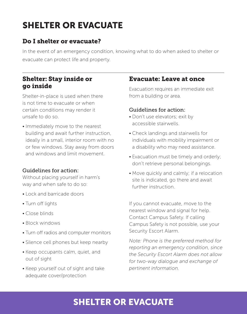# SHELTER OR EVACUATE

### Do I shelter or evacuate?

In the event of an emergency condition, knowing what to do when asked to shelter or evacuate can protect life and property.

### Shelter: Stay inside or go inside

Shelter-in-place is used when there is not time to evacuate or when certain conditions may render it unsafe to do so.

• Immediately move to the nearest building and await further instruction, ideally in a small, interior room with no or few windows. Stay away from doors and windows and limit movement.

#### Guidelines for action:

Without placing yourself in harm's way and when safe to do so:

- Lock and barricade doors
- Turn off lights
- Close blinds
- Block windows
- Turn off radios and computer monitors
- Silence cell phones but keep nearby
- Keep occupants calm, quiet, and out of sight
- Keep yourself out of sight and take adequate cover/protection

### Evacuate: Leave at once

Evacuation requires an immediate exit from a building or area.

#### Guidelines for action:

- Don't use elevators; exit by accessible stairwells.
- Check landings and stairwells for individuals with mobility impairment or a disability who may need assistance.
- Evacuation must be timely and orderly; don't retrieve personal belongings.
- Move quickly and calmly; if a relocation site is indicated, go there and await further instruction.

If you cannot evacuate, move to the nearest window and signal for help. Contact Campus Safety. If calling Campus Safety is not possible, use your Security Escort Alarm.

*Note: Phone is the preferred method for reporting an emergency condition, since the Security Escort Alarm does not allow for two-way dialogue and exchange of pertinent information.*

### SHELTER OR EVACUATE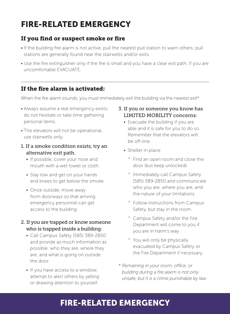# FIRE-RELATED EMERGENCY

### If you find or suspect smoke or fire

- If the building fire alarm is not active, pull the nearest pull station to warn others; pull stations are generally found near the stairwells and/or exits.
- Use the fire extinguisher only if the fire is small and you have a clear exit path. If you are uncomfortable EVACUATE.

### If the fire alarm is activated:

When the fire alarm sounds, you must immediately exit the building via the nearest exit\*

- Always assume a real emergency exists; do not hesitate or take time gathering personal items.
- The elevators will not be operational, use stairwells only.
- 1. If a smoke condition exists, try an alternative exit path.
	- If possible, cover your nose and mouth with a wet towel or cloth.
	- Stay low and get on your hands and knees to get below the smoke.
	- Once outside, move away from doorways so that arriving emergency personnel can get access to the building.
- 2. If you are trapped or know someone who is trapped inside a building:
	- Call Campus Safety (585) 389-2850 and provide as much information as possible: who they are, where they are, and what is going on outside the door.
	- If you have access to a window, attempt to alert others by yelling or drawing attention to yourself.

#### 3. If you or someone you know has LIMITED MOBILITY concerns:

- Evacuate the building if you are able and it is safe for you to do so. Remember that the elevators will be off-line.
- Shelter in place:
	- ° Find an open room and close the door (but keep unlocked).
	- ° Immediately call Campus Safety (585) 389-2850 and communicate who you are, where you are, and the nature of your limitations.
	- ° Follow instructions from Campus Safety, but stay in the room.
	- ° Campus Safety and/or the Fire Department will come to you if you are in harm's way.
	- ° You will only be physically evacuated by Campus Safety or the Fire Department if necessary.
- *\* Remaining in your room, office, or building during a fire alarm is not only unsafe, but it is a crime punishable by law.*

### FIRE-RELATED EMERGENCY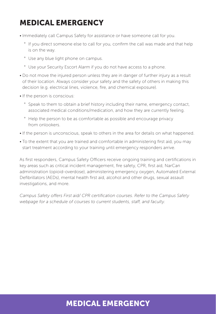# MEDICAL EMERGENCY

- Immediately call Campus Safety for assistance or have someone call for you.
	- ° If you direct someone else to call for you, confirm the call was made and that help is on the way.
	- ° Use any blue light phone on campus.
	- ° Use your Security Escort Alarm if you do not have access to a phone.
- Do not move the injured person unless they are in danger of further injury as a result of their location. Always consider your safety and the safety of others in making this decision (e.g. electrical lines, violence, fire, and chemical exposure).
- If the person is conscious:
	- ° Speak to them to obtain a brief history including their name, emergency contact, associated medical conditions/medication, and how they are currently feeling.
	- ° Help the person to be as comfortable as possible and encourage privacy from onlookers.
- If the person is unconscious, speak to others in the area for details on what happened.
- To the extent that you are trained and comfortable in administering first aid, you may start treatment according to your training until emergency responders arrive.

As first responders, Campus Safety Officers receive ongoing training and certifications in key areas such as critical incident management, fire safety, CPR, first aid, NarCan administration (opioid-overdose), administering emergency oxygen, Automated External Defibrillators (AEDs), mental health first aid, alcohol and other drugs, sexual assault investigations, and more.

*Campus Safety offers First aid/ CPR certification courses. Refer to the Campus Safety webpage for a schedule of courses to current students, staff, and faculty.* 

### MEDICAL EMERGENCY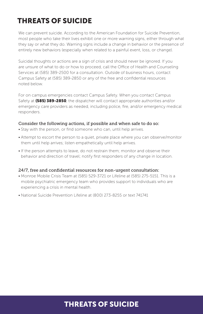# THREATS OF SUICIDE

We can prevent suicide. According to the American Foundation for Suicide Prevention, most people who take their lives exhibit one or more warning signs, either through what they say or what they do. Warning signs include a change in behavior or the presence of entirely new behaviors (especially when related to a painful event, loss, or change).

Suicidal thoughts or actions are a sign of crisis and should never be ignored. If you are unsure of what to do or how to proceed, call the Office of Health and Counseling Services at (585) 389-2500 for a consultation. Outside of business hours, contact Campus Safety at (585) 389-2850 or any of the free and confidential resources noted below.

For on campus emergencies contact Campus Safety. When you contact Campus Safety at (585) 389-2850, the dispatcher will contact appropriate authorities and/or emergency care providers as needed, including police, fire, and/or emergency medical responders.

#### Consider the following actions, if possible and when safe to do so:

- Stay with the person, or find someone who can, until help arrives.
- Attempt to escort the person to a quiet, private place where you can observe/monitor them until help arrives; listen empathetically until help arrives.
- If the person attempts to leave, do not restrain them; monitor and observe their behavior and direction of travel; notify first responders of any change in location.

#### 24/7, free and confidential resources for non-urgent consultation:

- Monroe Mobile Crisis Team at (585) 529-3721 or Lifeline at (585) 275-5151. This is a mobile psychiatric emergency team who provides support to individuals who are experiencing a crisis in mental health.
- National Suicide Prevention Lifeline at (800) 273-8255 or text 741741

### THREATS OF SUICIDE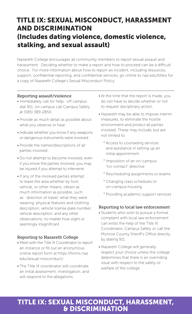### TITLE IX: SEXUAL MISCONDUCT, HARASSMENT AND DISCRIMINATION (Includes dating violence, domestic violence, stalking, and sexual assault)

Nazareth College encourages all community members to report sexual assault and harassment. Deciding whether to make a report and how to proceed can be a difficult choice. For more information about how to report an incident, including resources, support, confidential reporting, and confidential services, go online to naz.edu/titleix for a copy of Nazareth College's Sexual Misconduct Policy.

#### Reporting assault/violence

- Immediately call for help: off campus dial 911; on campus call Campus Safety at (585) 389-2850.
- Provide as much detail as possible about what you observe or hear.
- Indicate whether you know if any weapons or dangerous instruments were involved
- Provide the names/descriptions of all parties involved.
- Do not attempt to become involved; even if you know the parties involved, you may be injured if you attempt to intervene.
- If any of the involved parties attempt to leave the area whether by foot, vehicle, or other means, obtain as much information as possible, such as: direction of travel; what they were wearing; physical features and clothing description; vehicle license plate number; vehicle description; and any other observations, no matter how slight or seemingly insignificant.

#### Reporting to Nazareth College

- Meet with the Title IX Coordinator to report an instance or fill out an anonymous online report form at https://forms.naz. edu/sexual-misconduct/.
- The Title IX coordinator will coordinate an initial assessment, investigation, and will respond to the allegations.
- At the time that the report is made, you do not have to decide whether or not to request disciplinary action.
- Nazareth may be able to impose interim measures, to eliminate the hostile environment and protect all parties involved. These may include, but are not limited to:
	- ° Access to counseling services and assistance in setting up an initial appointment
	- ° Imposition of an on-campus "no-contact" directive
	- ° Rescheduling assignments or exams
	- ° Changing class schedules or on-campus housing
	- ° Providing academic support services

#### Reporting to local law enforcement

- Students who wish to pursue a formal complaint with local law enforcement can enlist the help of the Title IX Coordinator, Campus Safety or call the Monroe County Sheriff's Office directly by dialing 911.
- Nazareth College will generally respect your choice unless the college determines that there is an overriding issue with respect to the safety or welfare of the college.

### TITLE IX: SEXUAL MISCONDUCT, HARASSMENT, & DISCRIMINATION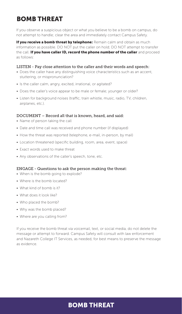# BOMB THREAT

If you observe a suspicious object or what you believe to be a bomb on campus, do not attempt to handle; clear the area and immediately contact Campus Safety.

If you receive a bomb threat by telephone: Remain calm and obtain as much information as possible. DO NOT put the caller on hold; DO NOT attempt to transfer the call. If you have caller ID, record the phone number of the caller and proceed as follows:

#### LISTEN - Pay close attention to the caller and their words and speech:

- Does the caller have any distinguishing voice characteristics such as an accent, stuttering, or mispronunciation?
- Is the caller calm, angry, excited, irrational, or agitated?
- Does the caller's voice appear to be male or female; younger or older?
- Listen for background noises (traffic, train whistle, music, radio, TV, children, airplanes, etc.).

#### DOCUMENT – Record all that is known, heard, and said:

- Name of person taking the call
- Date and time call was received and phone number (if displayed)
- How the threat was reported (telephone, e-mail, in-person, by mail)
- Location threatened (specific building, room, area, event, space)
- Exact words used to make threat
- Any observations of the caller's speech, tone, etc.

#### ENGAGE - Questions to ask the person making the threat:

- When is the bomb going to explode?
- Where is the bomb located?
- What kind of bomb is it?
- What does it look like?
- Who placed the bomb?
- Why was the bomb placed?
- Where are you calling from?

If you receive the bomb threat via voicemail, text, or social media, do not delete the message or attempt to forward. Campus Safety will consult with law enforcement and Nazareth College IT Services, as needed, for best means to preserve the message as evidence.

### BOMB THREAT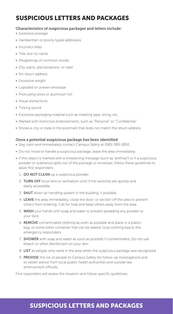# SUSPICIOUS LETTERS AND PACKAGES

#### Characteristics of suspicious packages and letters include:

- Excessive postage
- Handwritten or poorly typed addresses
- Incorrect titles
- Title, but no name
- Misspellings of common words
- Oily stains, discolorations, or odor
- No return address
- Excessive weight
- Lopsided or uneven envelope
- Protruding wires or aluminum foil
- Visual distractions
- Ticking sound
- Excessive packaging material such as masking tape, string, etc.
- Marked with restrictive endorsements, such as "Personal" or "Confidential"
- Shows a city or state in the postmark that does not match the return address

#### Once a potential suspicious package has been identified

- Stay calm and immediately contact Campus Safety at (585) 389-2850.
- Do not move or handle a suspicious package; leave the area immediately.
- If the object is marked with a threatening message (such as "anthrax") or if a suspicious powder or substance spills out of the package or envelope, follow these guidelines to assist first responders:
	- 1. DO NOT CLEAN up a suspicious powder.
	- 2. TURN OFF local fans or ventilation units if the switches are quickly and easily accessible.
	- 3. SHUT down air handling system in the building, if possible.
	- 4. LEAVE the area immediately; close the door, or section off the area to prevent others from entering. Call for help and keep others away from the area.
	- 5. WASH your hands with soap and water to prevent spreading any powder to your face.
	- 6. REMOVE contaminated clothing as soon as possible and place in a plastic bag, or some other container that can be sealed. Give clothing bag to the emergency responders.
	- 7. **SHOWER** with soap and water as soon as possible if contaminated. Do not use bleach or other disinfectant on your skin.
	- 8. LIST all people who were in the area when the suspicious package was recognized.
	- 9. PROVIDE this list of people to Campus Safety for follow-up investigations and to obtain advice from local public health authorities and outside law enforcement officials.

First responders will assess the situation and follow specific guidelines.

# SUSPICIOUS LETTERS AND PACKAGES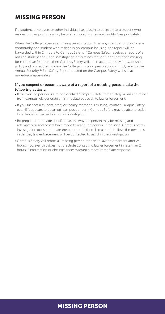### MISSING PERSON

If a student, employee, or other individual has reason to believe that a student who resides on campus is missing, he or she should immediately notify Campus Safety.

When the College receives a missing person report from any member of the College community or a student who resides in on-campus housing, the report will be forwarded within 24 hours to Campus Safety. If Campus Safety receives a report of a missing student and upon investigation determines that a student has been missing for more than 24 hours, then Campus Safety will act in accordance with established policy and procedure. To view the College's missing person policy in full, refer to the Annual Security & Fire Safety Report located on the Campus Safety website at naz.edu/campus-safety.

#### If you suspect or become aware of a report of a missing person, take the following actions:

- If the missing person is a minor, contact Campus Safety immediately. A missing minor from campus will generate an immediate outreach to law enforcement.
- If you suspect a student, staff, or faculty member is missing, contact Campus Safety even if it appears to be an off-campus concern. Campus Safety may be able to assist local law enforcement with their investigation.
- Be prepared to provide specific reasons why the person may be missing and attempts you and others have made to reach the person. If the initial Campus Safety investigation does not locate the person or if there is reason to believe the person is in danger, law enforcement will be contacted to assist in the investigation.
- Campus Safety will report all missing person reports to law enforcement after 24 hours; however this does not preclude contacting law enforcement in less than 24 hours if information or circumstances warrant a more immediate response.

# MISSING PERSON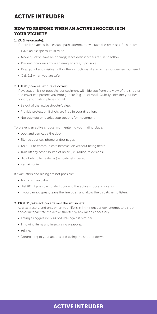# ACTIVE INTRUDER

### HOW TO RESPOND WHEN AN ACTIVE SHOOTER IS IN YOUR VICINITY

### 1. RUN (evacuate):

- If there is an accessible escape path, attempt to evacuate the premises. Be sure to:
- Have an escape route in mind.
- Move quickly; leave belongings; leave even if others refuse to follow.
- Prevent individuals from entering an area, if possible.
- Keep your hands visible. Follow the instructions of any first responders encountered.
- Call 911 when you are safe.

#### 2. HIDE (conceal and take cover):

If evacuation is not possible, concealment will hide you from the view of the shooter and cover can protect you from gunfire (e.g., brick wall). Quickly consider your best option; your hiding place should:

- Be out of the active shooter's view.
- Provide protection if shots are fired in your direction.
- Not trap you or restrict your options for movement.

To prevent an active shooter from entering your hiding place:

- Lock and barricade the door.
- Silence your cell phone and/or pager.
- Text 911 to communicate information without being heard.
- Turn off any other source of noise (i.e., radios, televisions).
- Hide behind large items (i.e., cabinets, desks).
- Remain quiet.

If evacuation and hiding are not possible:

- Try to remain calm.
- Dial 911, if possible, to alert police to the active shooter's location.
- If you cannot speak, leave the line open and allow the dispatcher to listen.

#### 3. FIGHT (take action against the intruder):

As a last resort, and only when your life is in imminent danger, attempt to disrupt and/or incapacitate the active shooter by any means necessary.

- Acting as aggressively as possible against him/her.
- Throwing items and improvising weapons.
- Yelling.
- Committing to your actions and taking the shooter down.

# ACTIVE INTRUDER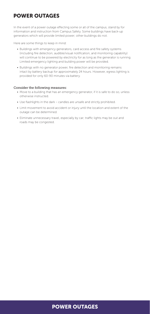# POWER OUTAGES

In the event of a power outage effecting some or all of the campus, stand by for information and instruction from Campus Safety. Some buildings have back-up generators which will provide limited power; other buildings do not.

Here are some things to keep in mind:

- Buildings with emergency generators, card access and fire safety systems (including fire detection, audible/visual notification, and monitoring capability) will continue to be powered by electricity for as long as the generator is running. Limited emergency lighting and building power will be provided.
- Buildings with no generator power, fire detection and monitoring remains intact by battery backup for approximately 24 hours. However, egress lighting is provided for only 60-90 minutes via battery.

### Consider the following measures:

- Move to a building that has an emergency generator, if it is safe to do so, unless otherwise instructed.
- Use flashlights in the dark candles are unsafe and strictly prohibited.
- Limit movement to avoid accident or injury until the location and extent of the outage can be determined.
- Eliminate unnecessary travel, especially by car; traffic lights may be out and roads may be congested.

### POWER OUTAGES